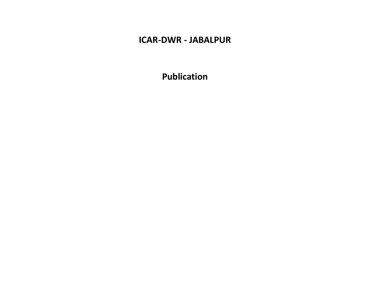# **ICAR-DWR - JABALPUR**

**Publication**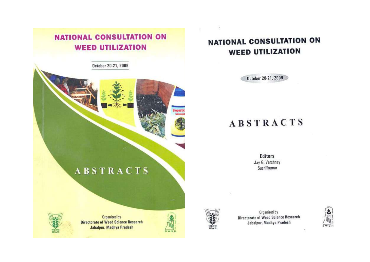# **NATIONAL CONSULTATION ON WEED UTILIZATION**

October 20-21, 2009

# **ABSTRACTS**



Organized by **Directorate of Weed Science Research** Jabalpur, Madhya Pradesh



# **NATIONAL CONSULTATION ON WEED UTILIZATION**

October 20-21, 2009

# **ABSTRACTS**

**Editors** Jay G. Varshney Sushilkumar



Organized by Directorate of Weed Science Research Jabalpur, Madhya Pradesh

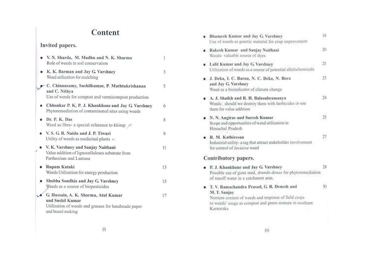# Content

# Invited papers.

| V. N. Sharda, M. Madhu and N. K. Sharma<br>Role of weeds in soil conservation                                                       | 1  |
|-------------------------------------------------------------------------------------------------------------------------------------|----|
| K. K. Barman and Jay G. Varshney<br>Weed utilization for mulching                                                                   | 3  |
| C. Chinnusamy, Sushilkumar, P. Muthtukrishanan<br>and C. Nithya<br>Use of weeds for compost and vermicompost production             | 5  |
| Chhonkar P. K, P. J. Khankhane and Jay G. Varshney<br>Phytoremediation of contaminated sites using weeds                            | 6  |
| Dr. P. K. Das<br>Weed as fibre- a special reference to khimp $\sim$                                                                 | 8  |
| V. S. G. R. Naidu and J. P. Tiwari<br>Utility of weeds as medicinal plants $\sim$                                                   | 9  |
| V. K. Varshney and Sanjay Naithani<br>Value addition of lignocelluloses substrate from<br>Parthenium and Lantana                    | 11 |
| Rupam Kataki<br>Weeds Utilization for energy production                                                                             | 13 |
| Shobha Sondhia and Jay G. Varshney<br>Weeds as a source of biopesticides                                                            | 15 |
| G. Hussain, A. K. Sharma, Atul Kumar<br>and Sushil Kumar<br>Utilization of weeds and grasses for handmade paper<br>and board making | 17 |

| Bhumesh Kumar and Jay G. Varshney<br>Use of weeds as genetic material for crop improvement                                                                                                 | 18 |
|--------------------------------------------------------------------------------------------------------------------------------------------------------------------------------------------|----|
| Rakesh Kumar and Sanjay Naithani<br>Weeds- valuable source of dyes.                                                                                                                        | 20 |
| Lalit Kumar and Jay G. Varshney<br>Utilization of weeds as a source of potential allelochemicals                                                                                           |    |
| J. Deka, I. C. Barua, N. C. Deka, N. Bora<br>and Jay G. Varshney<br>Weed as a bioindicator of climate change                                                                               | 23 |
| A. J. Shaikh and R. H. Balasubramanya<br>Weeds: should we destroy them with herbicides or use<br>them for value addition.                                                                  |    |
| N. N. Angiras and Suresh Kumar.<br>Scope and opportunities of weed utilization in<br>Himachal Pradesh                                                                                      | 25 |
| R. M. Kathiresan<br>Industrial utility- a tag that attract stakeholder involvement<br>for control of invasive weed                                                                         |    |
| Contributory papers.                                                                                                                                                                       |    |
| P. J. Khankhane and Jav G. Varsbney<br>Possible use of giant reed, Arundo downs for phytoremediation<br>of runoff water in a catchment area.                                               | 78 |
| T. V. Ramachandra Prasad, G. R. Denesh and<br>M. T. Sanjay<br>Nutrient content of weeds and response of field crops<br>to weeds' usage as compost and green manure in southern<br>Kamataka | 30 |

 $\langle i| \rangle$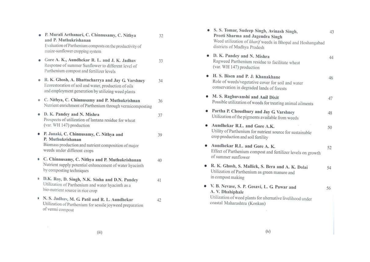|    | . P. Murali Arthanari, C. Chinnusamy, C. Nithya<br>and P. Muthukrishanan<br>Evaluation of Parthenium composts on the productivity of<br>maize-sunflower cropping system | 32  |
|----|-------------------------------------------------------------------------------------------------------------------------------------------------------------------------|-----|
|    | Gore A. K., Aundhekar R. L. and J. K. Jadhav<br>Response of summer Sunflower to different level of<br>Parthenium compost and fertilizer levels                          | 33. |
| ø. | R. K. Ghosh, A. Bhattacharrya and Jay G. Varshney<br>Ecorestoration of soil and water, production of oils<br>and employment generation by utilizing weed plants         | 34  |
|    | C. Nithya, C. Chinnusamy and P. Muthukrishnan<br>Nutrient enrichment of Parthenium through vermicomposting                                                              | 36  |
|    | D. K. Pandey and N. Mishra<br>Prospects of utilization of lantana residue for wheat<br>(var. WH 147) production                                                         | 37  |
|    | P. Janaki, C. Chinnusamy, C. Nithya and<br>P. Muthukrishanan<br>Biomass production and nutrient composition of major<br>weeds under different crops                     | 39  |
|    | C. Chinnusamy, C. Nithya and P. Muthukrishanan<br>Nutrient supply potential enhancement of water hyacinth<br>by composting techniques                                   | 40  |
| D. | D.K. Roy, D. Singh, N.K. Sinha and D.N. Pandey<br>Utilization of Parthenium and water hyacinth as a<br>bio-nutrient source in rice crop                                 | 41  |
|    | N. S. Jadhav, M. G. Patil and R. L. Aundhekar<br>Utilization of Parthenium for sessile joyweed preparation<br>of vermi compost                                          | 42  |

| S. S. Tomar, Sudeep Singh, Avinash Singh,<br>Preeti Sharma and Jagendra Singh<br>Weed utilization of kharif weeds in Bhopal and Hoshangabad<br>districts of Madhya Pradesh | 43 |
|----------------------------------------------------------------------------------------------------------------------------------------------------------------------------|----|
| · D. K. Pandey and N. Mishra<br>Ragweed Parthenium residue to facilitate wheat<br>(var. WH 147) production                                                                 | 44 |
| · H. S. Bisen and P. J: Khanakhane<br>Role of weeds/vegetative cover for soil and water<br>conservation in degraded lands of forests                                       | 46 |
| M. S. Raghuvanshi and Anil Dixit<br>Possible utilization of weeds for treating animal ailments                                                                             | 47 |
| Partha P. Choudhury and Jay G. Varshney<br>Utilization of the pigments available from weeds                                                                                | 48 |
| Aundhekar R.L. and Gore A.K.<br>Utility of Parthenium for nutrient source for sustainable<br>crop production and soil fertility                                            | 50 |
| Aundhekar R.L. and Gore A. K.<br>Effect of Parthenium compost and fertilizer levels on growth<br>of summer sunflower                                                       | 52 |
| R. K. Ghosh, S. Mallick, S. Bera and A. K. Dolai<br>Utilization of Parthenium as green manure and<br>in compost making                                                     | 54 |
| V. B. Nevase, S. P. Gosavi, L. G. Pawar and<br>A. V. Dhahiphale<br>Utilization of weed plants for alternative livelihood under<br>coastal Maharashtra (Konkan)             | 56 |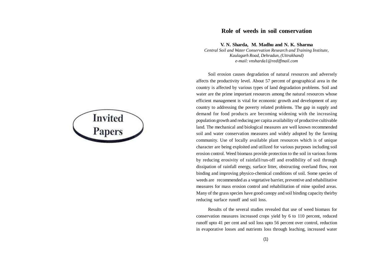**Invited**<br>**Papers** 

#### **Role of weeds in soil conservation**

**V. N. Sharda, M. Madhu and N. K. Sharma**

*Central Soil and Water Conservation Research and Training Institute, Kaulagarh Road, Dehradun, (Uttrakhand) e-mail: vnsharda1@rediffmail.com*

Soil erosion causes degradation of natural resources and adversely affects the productivity level. About 57 percent of geographical area in the country is affected by various types of land degradation problems. Soil and water are the prime important resources among the natural resources whose efficient management is vital for economic growth and development of any country to addressing the poverty related problems. The gap in supply and demand for food products are becoming widening with the increasing population growth and reducing per capita availability of productive cultivable land. The mechanical and biological measures are well known recommended soil and water conservation measures and widely adopted by the farming community. Use of locally available plant resources which is of unique character are being exploited and utilized for various purposes including soil erosion control. Weed biomass provide protection to the soil in various forms by reducing erosivity of rainfall/run-off and erodibility of soil through dissipation of rainfall energy, surface litter, obstructing overland flow, root binding and improving physico-chemical conditions of soil. Some species of weeds are recommended as a vegetative barrier, preventive and rehabilitative measures for mass erosion control and rehabilitation of mine spoiled areas. Many of the grass species have good canopy and soil binding capacity theirby reducing surface runoff and soil loss.

Results of the several studies revealed that use of weed biomass for conservation measures increased crops yield by 6 to 110 percent, reduced runoff upto 41 per cent and soil loss upto 56 percent over control, reduction in evaporative losses and nutrients loss through leaching, increased water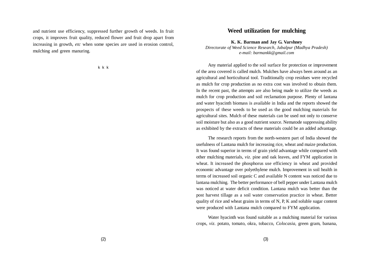and nutrient use efficiency, suppressed further growth of weeds. In fruit crops, it improves fruit quality, reduced flower and fruit drop apart from increasing in growth, *etc* when some species are used in erosion control, mulching and green manuring.

k k k

#### **Weed utilization for mulching**

**K. K. Barman and Jay G. Varshney**

*Directorate of Weed Science Research, Jabalpur (Madhya Pradesh) e-mail: barmankk@gmail.com*

Any material applied to the soil surface for protection or improvement of the area covered is called mulch. Mulches have always been around as an agricultural and horticultural tool. Traditionally crop residues were recycled as mulch for crop production as no extra cost was involved to obtain them. In the recent past, the attempts are also being made to utilize the weeds as mulch for crop production and soil reclamation purpose. Plenty of lantana and water hyacinth biomass is available in India and the reports showed the prospects of these weeds to be used as the good mulching materials for agricultural sites. Mulch of these materials can be used not only to conserve soil moisture but also as a good nutrient source. Nematode suppressing ability as exhibited by the extracts of these materials could be an added advantage.

The research reports from the north-western part of India showed the usefulness of Lantana mulch for increasing rice, wheat and maize production. It was found superior in terms of grain yield advantage while compared with other mulching materials, *viz*. pine and oak leaves, and FYM application in wheat. It increased the phosphorus use efficiency in wheat and provided economic advantage over polyethylene mulch. Improvement in soil health in terms of increased soil organic C and available N content was noticed due to lantana mulching. The better performance of bell pepper under Lantana mulch was noticed at water deficit condition. Lantana mulch was better than the post harvest tillage as a soil water conservation practice in wheat. Better quality of rice and wheat grains in terms of N, P, K and soluble sugar content were produced with Lantana mulch compared to FYM application.

Water hyacinth was found suitable as a mulching material for various crops, *viz*. potato, tomato, okra, tobacco, *Colocasia*, green gram, banana,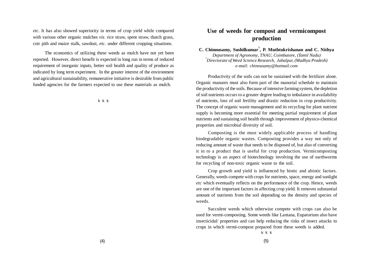*etc*. It has also showed superiority in terms of crop yield while compared with various other organic mulches *viz*. rice straw, spent straw, thatch grass, coir pith and maize stalk, sawdust, *etc*. under different cropping situations.

The economics of utilizing these weeds as mulch have not yet been reported. However, direct benefit is expected in long run in terms of reduced requirement of inorganic inputs, better soil health and quality of produce as indicated by long term experiment. In the greater interest of the environment and agricultural sustainability, remunerative initiative is desirable from public funded agencies for the farmers expected to use these materials as mulch.

k k k

## **Use of weeds for compost and vermicompost production**

**C. Chinnusamy, Sushilkumar<sup>1</sup> , P. Muthtukrishanan and C. Nithya** *Department of Agronomy, TNAU, Coimbatore, (Tamil Nadu) 1 Directorate of Weed Science Research, Jabalpur, (Madhya Pradesh) e-mail: chinnusamy@hotmail.com*

Productivity of the soils can not be sustained with the fertilizer alone. Organic manures must also form part of the manorial schedule to maintain the productivity of the soils. Because of intensive farming system, the depletion of soil nutrients occurs to a greater degree leading to imbalance in availability of nutrients, loss of soil fertility and drastic reduction in crop productivity. The concept of organic waste management and its recycling for plant nutrient supply is becoming more essential for meeting partial requirement of plant nutrients and sustaining soil health through improvement of physico-chemical properties and microbial diversity of soil.

Composting is the most widely applicable process of handling biodegradable organic wastes. Composting provides a way not only of reducing amount of waste that needs to be disposed of, but also of converting it in to a product that is useful for crop production. Vermicomposting technology is an aspect of biotechnology involving the use of earthworms for recycling of non-toxic organic waste to the soil.

Crop growth and yield is influenced by biotic and abiotic factors. Generally, weeds compete with crops for nutrients, space, energy and sunlight *etc* which eventually reflects on the performance of the crop. Hence, weeds are one of the important factors in affecting crop yield. It removes substantial amount of nutrients from the soil depending on the density and species of weeds.

Succulent weeds which otherwise compete with crops can also be used for vermi-composting. Some weeds like Lantana, Eupatorium also have insecticidal/ properties and can help reducing the risks of insect attacks to crops in which vermi-compost prepared from these weeds is added.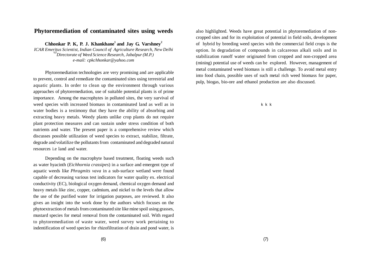#### **Phytoremediation of contaminated sites using weeds**

**Chhonkar P. K, P. J. Khankhane<sup>1</sup> and Jay G. Varshney<sup>2</sup>** *ICAR Emeritus Scientist, Indian Council of Agriculture Research, New Delhi* **1,2***Directorate of Weed Science Research, Jabalpur (M.P.) e-mail: cpkchhonkar@yahoo.com*

Phytoremediation technologies are very promising and are applicable to prevent, control and remediate the contaminated sites using terrestrial and aquatic plants. In order to clean up the environment through various approaches of phytoremediation, use of suitable potential plants is of prime importance. Among the macrophytes in polluted sites, the very survival of weed species with increased biomass in contaminated land as well as in water bodies is a testimony that they have the ability of absorbing and extracting heavy metals. Weedy plants unlike crop plants do not require plant protection measures and can sustain under stress condition of both nutrients and water. The present paper is a comprehensive review which discusses possible utilization of weed species to extract, stabilize, filtrate, degrade and volatilize the pollutants from contaminated and degraded natural resources i.e land and water.

Depending on the macrophyte based treatment, floating weeds such as water hyacinth (*Eichhornia crassipes*) in a surface and emergent type of aquatic weeds like *Phragmits vava* in a sub-surface wetland were found capable of decreasing various test indicators for water quality ex. electrical conductivity (EC), biological oxygen demand, chemical oxygen demand and heavy metals like zinc, copper, cadmium, and nickel to the levels that allow the use of the purified water for irrigation purposes, are reviewed. It also gives an insight into the work done by the authors which focuses on the phytoextraction of metals from contaminated site like mine spoil using grasses, mustard species for metal removal from the contaminated soil. With regard to phytoremediation of waste water, weed survey work pertaining to indentification of weed species for rhizofiltration of drain and pond water, is

also highlighted. Weeds have great potential in phytoremediation of noncropped sites and for its exploitation of potential in field soils, development of hybrid by breeding weed species with the commercial field crops is the option. In degradation of compounds in calcareous alkali soils and in stabilization runoff water originated from cropped and non-cropped area (mining) potential use of weeds can be explored. However, management of metal contaminated weed biomass is still a challenge. To avoid metal entry into food chain, possible uses of such metal rich weed biomass for paper, pulp, biogas, bio-ore and ethanol production are also discussed.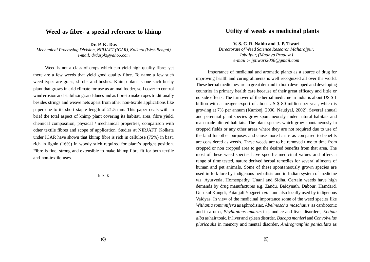#### **Weed as fibre- a special reference to khimp**

**Dr. P. K. Das** *Mechanical Processing Division, NIRJAFT (ICAR), Kolkata (West-Bengal) e-mail: drdaspk@yahoo.com*

Weed is not a class of crops which can yield high quality fibre; yet there are a few weeds that yield good quality fibre. To name a few such weed types are grass, shrubs and bushes. Khimp plant is one such bushy plant that grows in arid climate for use as animal fodder, soil cover to control wind erosion and stabilizing sand dunes and as fibre to make ropes traditionally besides strings and weave nets apart from other non-textile applications like paper due to its short staple length of 21.5 mm. This paper deals with in brief the total aspect of khimp plant covering its habitat, area, fibre yield, chemical composition, physical / mechanical properties, comparison with other textile fibres and scope of application. Studies at NIRJAFT, Kolkata under ICAR have shown that khimp fibre is rich in cellulose (75%) in bast, rich in lignin (16%) in woody stick required for plant's upright position. Fibre is fine, strong and extensible to make khimp fibre fit for both textile and non-textile uses.

k k k

#### **Utility of weeds as medicinal plants**

**V. S. G. R. Naidu and J. P. Tiwari**

*Directorate of Weed Science Research Maharajpur, Jabalpur, (Madhya Pradesh) e-mail :- jptiwari2008@gmail.com*

Importance of medicinal and aromatic plants as a source of drug for improving health and curing aliments is well recognized all over the world. These herbal medicines are in great demand in both developed and developing countries in primary health care because of their great efficacy and little or no side effects. The turnover of the herbal medicine in India is about US \$ 1 billion with a meager export of about US \$ 80 million per year, which is growing at 7% per annum (Kamboj, 2000, Nautiyal, 2002). Several annual and perennial plant species grow spontaneously under natural habitats and man made altered habitats. The plant species which grow spontaneously in cropped fields or any other areas where they are not required due to use of the land for other purposes and cause more harms as compared to benefits are considered as weeds. These weeds are to be removed time to time from cropped or non cropped area to get the desired benefits from that area. The most of these weed species have specific medicinal values and offers a range of time tested, nature derived herbal remedies for several ailments of human and pet animals. Some of these spontaneously grown species are used in folk lore by indigenous herbalists and in Indian system of medicine *viz*. Ayurveda, Homeopathy, Unani and Sidha. Certain weeds have high demands by drug manufactures e.g. Zandu, Baidynath, Dabour, Hamdard, Gurukul Kangdi, Patanjali Yogpeeth *etc*. and also locally used by indigenous Vaidyas. In view of the medicinal importance some of the weed species like *Withania sommnifera* as aphrodisiac*, Abelmoschu moschatus* as cardiotonic and in aroma*, Phyllantnus amarus* in jaundice and liver disorders*, Eclipta alba* as hair tonic, in liver and spleen disorder*, Bacopa monieri* and *Convolvulus pluricaulis* in memory and mental disorder*, Androgranphis paniculata* as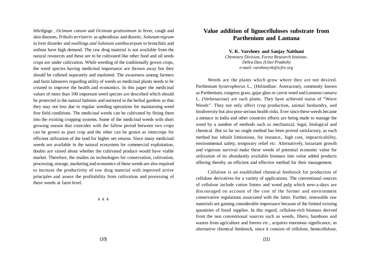febrifguge *, Ocimum canum* and *Ocimum gratissimum* in fever, cough and skin diseases*, Tribulis terristeris* as aphrodisiac and diuretic*, Solanum nigrum* in liver disorder and swellings *and Solanum xanthocarpum* in bronchitis and asthma have high demand. The raw drug material is not available from the natural resources and these are to be cultivated like other food and oil seeds crops are under cultivation. While weeding of the traditionally grown crops, the weed species having medicinal importance are thrown away but they should be colleted separately and marketed. The awareness among farmers and farm labourers regarding utility of weeds as medicinal plants needs to be created to improve the health and economics. In this paper the medicinal values of more than 100 important weed species are described which should be protected in the natural habitats and nurtured in the herbal gardens so that they may not loss due to regular weeding operations for maintaining weed free field conditions. The medicinal weeds can be cultivated by fitting them into the existing cropping systems. Some of the medicinal weeds with short growing season that coincides with the fallow period between two crops can be grown as pure crop and the other can be grown as intercrops for efficient utilization of the land for higher net returns. Since many medicinal weeds are available in the natural ecosystem for commercial exploitation, doubts are raised about whether the cultivated produce would have viable market. Therefore, the studies on technologies for conservation, cultivation, processing, storage, marketing and economics of these weeds are also required to increase the productivity of raw drug material with improved active principles and assess the profitability from cultivation and processing of these weeds at farm level.

k k k

#### **Value addition of lignocelluloses substrate from Parthenium and Lantana**

**V. K. Varshney and Sanjay Naithani**

*Chemistry Division, Forest Research Institute, Dehra Dun, (Utter Pradesh) e-mail: varshneyvk@icfre.org*

Weeds are the plants which grow where they are not desired. Parthenium *hysterophorus* L., (Helianthae: Asteraceae), commonly known as Parthenium, congress grass, gajar ghas or carrot weed and *Lantana camara* L. (Verbenaceae) are such plants. They have achieved status of "Worst Weeds". They not only affect crop production, animal husbandry, and biodiversity but also pose serious health risks. Ever since these weeds became a menace in India and other countries efforts are being made to manage the weed by a number of methods such as mechanical, legal, biological and chemical But so far no single method has been proved satisfactory, as each method has inbuilt limitations, for instance,. high cost, impracticability, environmental safety, temporary relief *etc*. Alternatively, luxuriant growth and vigorous survival make these weeds of potential economic value for utilization of its abundantly available biomass into value added products offering thereby an efficient and effective method for their management.

Cellulose is an established chemical feedstock for production of cellulose derivatives for a variety of applications. The conventional sources of cellulose include cotton linters and wood pulp which now-a-days are discouraged on account of the cost of the former and environment conservative regulations associated with the latter. Further, renewable raw materials are gaining considerable importance because of the limited existing quantities of fossil supplies. In this regard, cellulose-rich biomass derived from the non conventional sources such as weeds, fibers, bamboos and wastes from agriculture and forests *etc*., acquires enormous significance, as alternative chemical feedstock, since it consists of cellulose, hemicellulose,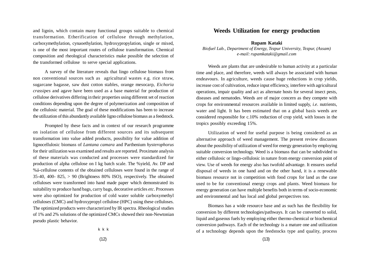and lignin, which contain many functional groups suitable to chemical transformation. Etherification of cellulose through methylation, carboxymethylation, cynaoethylation, hydroxypropylation, single or mixed, is one of the most important routes of cellulose transformation. Chemical composition and rheological characteristics make possible the selection of the transformed cellulose to serve special applications.

A survey of the literature reveals that lingo cellulose biomass from non conventional sources such as agricultural wastes e.g. rice straw, sugarcane bagasse, saw dust cotton stables, orange mesocarp, *Eichoria crassipes* and agave have been used as a base material for production of cellulose derivatives differing in their properties using different set of reaction conditions depending upon the degree of polymerization and composition of the cellulosic material. The goal of these modifications has been to increase the utilization of this abundantly available ligno cellulose biomass as a feedstock.

Prompted by these facts and in context of our research programme on isolation of cellulose from different sources and its subsequent transformation into value added products, possibility for value addition of lignocellulosic biomass of *Lantana camara* and Parthenium *hysterophorus* for their utilization was examined and results are reported. Proximate analysis of these materials was conducted and processes were standardized for production of alpha cellulose on I kg batch scale. The %yield, Av. DP and %á-cellulose contents of the obtained celluloses were found in the range of 35-40, 400- 825,  $> 90$  (Brightness 80% ISO), respectively. The obtained celluloses were transformed into hand made paper which demonstrated its suitability to produce hand bags, carry bags, decorative articles *etc*. Processes were also optimized for production of cold water soluble carboxymethyl celluloses (CMC) and hydroxypropyl cellulose (HPC) using these celluloses. The optimized products were characterized by IR spectra. Rheological studies of 1% and 2% solutions of the optimized CMCs showed their non-Newtonian pseudo plastic behavior.

#### **Weeds Utilization for energy production**

**Rupam Kataki**

*Biofuel Lab., Department of Energy, Tezpur University, Tezpur, (Assam) e-mail: rupamkataki@gmail.com*

Weeds are plants that are undesirable to human activity at a particular time and place, and therefore, weeds will always be associated with human endeavours. In agriculture, weeds cause huge reductions in crop yields, increase cost of cultivation, reduce input efficiency, interfere with agricultural operations, impair quality and act as alternate hosts for several insect pests, diseases and nematodes. Weeds are of major concern as they compete with crops for environmental resources available in limited supply, *i.e.* nutrients, water and light. It has been estimated that on a global basis weeds are considered responsible for c.10% reduction of crop yield, with losses in the tropics possibly exceeding 15%.

Utilization of weed for useful purpose is being considered as an alternative approach of weed management. The present review discusses about the possibility of utilization of weed for energy generation by employing suitable conversion technology. Weed is a biomass that can be subdivided to either cellulosic or lingo-cellulosic in nature from energy conversion point of view. Use of weeds for energy also has twofold advantage. It ensures useful disposal of weeds in one hand and on the other hand, it is a renewable biomass resource not in competition with food crops for land as the case used to be for conventional energy crops and plants. Weed biomass for energy generation can have multiple benefits both in terms of socio-economic and environmental and has local and global perspectives too.

Biomass has a wide resource base and as such has the flexibility for conversion by different technologies/pathways. It can be converted to solid, liquid and gaseous fuels by employing either thermo-chemical or biochemical conversion pathways. Each of the technology is a mature one and utilization of a technology depends upon the feedstocks type and quality, process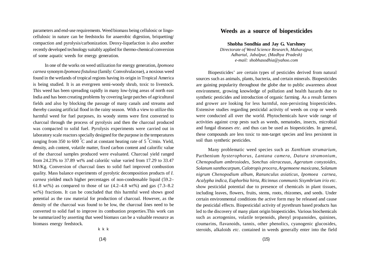parameters and end-use requirements. Weed biomass being cellulosic or lingocellulosic in nature can be feedstocks for anaerobic digestion, briquetting/ compaction and pyrolysis/carbonization. Deoxy-liquefaction is also another recently developed technology suitably applied for thermo-chemical conversion of some aquatic weeds for energy generation.

In one of the works on weed utilization for energy generation, *Ipomoea carnea* synonym *Ipomoea fistulosa* (family: Convolvulaceae), a noxious weed found in the wetlands of tropical regions having its origin in Tropical America is being studied. It is an evergreen semi-woody shrub, toxic to livestock. This weed has been spreading rapidly in many low-lying areas of north east India and has been creating problems by covering large patches of agricultural fields and also by blocking the passage of many canals and streams and thereby causing artificial flood in the rainy season. With a view to utilize this harmful weed for fuel purposes, its woody stems were first converted to charcoal through the process of pyrolysis and then the charcoal produced was compacted to solid fuel. Pyrolysis experiments were carried out in laboratory scale reactors specially designed for the purpose in the temperatures ranging from 350 to 600  $\mathrm{^0C}$  and at constant heating rate of 5  $\mathrm{^0C/min}$ . Yield, density, ash content, volatile matter, fixed carbon content and calorific value of the charcoal samples produced were evaluated. Charcoal yield ranged from 24.23% to 37.89 wt% and caloriûc value varied from 17.29 to 33.47 MJ/Kg. Conversion of charcoal ûnes to solid fuel improved combustion quality. Mass balance experiments of pyrolytic decomposition products of *I. carnea* yielded much higher percentages of non-condensable liquid (59.2– 61.8 wt%) as compared to those of tar  $(4.2-4.8 \text{ wt})$  and gas  $(7.3-8.2 \text{ s})$ wt%) fractions. It can be concluded that this harmful weed shows good potential as the raw material for production of charcoal. However, as the density of the charcoal was found to be low, the charcoal ûnes need to be converted to solid fuel to improve its combustion properties.This work can be summarized by asserting that weed biomass can be a valuable resource as biomass energy feedstock.

#### **Weeds as a source of biopesticides**

**Shobha Sondhia and Jay G. Varshney** *Directorate of Weed Science Research, Maharajpur, Adhartal, Jabalpur, (Madhya Pradesh) e-mail: shobhasodhia@yahoo.com*

Biopesticides' are certain types of pesticides derived from natural sources such as animals, plants, bacteria, and certain minerals. Biopesticides are gaining popularity throughout the globe due to public awareness about environment, growing knowledge of pollution and health hazards due to synthetic pesticides and introduction of organic farming. As a result farmers and grower are looking for less harmful, non-persisting biopesticides. Extensive studies regarding pesticidal activity of weeds on crop or weeds were conducted all over the world. Phytochemicals have wide range of activities against crop pests such as weeds, nematodes, insects, microbial and fungal diseases *etc*. and thus can be used as biopesticides. In general, these compounds are less toxic to non-target species and less persistent in soil than synthetic pesticides.

Many problematic weed species such as *Xanthium strumarium,* Parthenium *hysterophorus*, *Lantana camera*, *Datura stramonium*, *Chenopodium ambrosiodes*, *Sonchus oleraceuus*, *Ageratum conyzoides, Solanum xanthocarpum, Calotropis procera, Argemoene maxicana, Solanum nigrum Chenopodium album, Ranunculus asiaticus*, *Ipomoea carnea, Acalypha indica, Euphorbia hirta, Ricinnus communis Sisymbrium irio etc*. show pesticidal potential due to presence of chemicals in plant tissues, including leaves, flowers, fruits, stems, roots, rhizomes, and seeds. Under certain environmental conditions the active form may be released and cause the pesticidal effects. Biopesticidal activity of pyrethrum based products has led to the discovery of many plant origin biopesticides. Various biochemicals such as acetogenins, volatile terpenoids, phenyl propanoides, quinines, coumarins, flavanoids, tannis, other phenolics, cyanogenic glucosides, steroids, alkaloids *etc*. contained in weeds generally enter into the field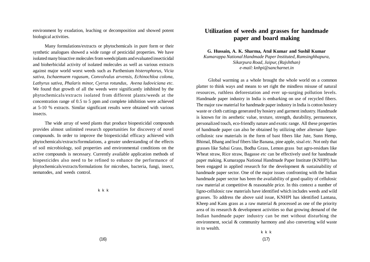environment by exudation, leaching or decomposition and showed potent biological activities.

Many formulations/extracts or phytochemicals in pure form or their synthetic analogues showed a wide range of pesticidal properties. We have isolated many bioactive molecules from weeds/plants and evaluated insecticidal and bioherbicidal activity of isolated molecules as well as various extracts against major world worst weeds such as Parthenium *histerophorus, Vicia sativa, Ischaemuem rogusum, Convolvulus arvensis, Echinochloa colona, Lathyrus sativa, Phalaris minor, Cyerus rotundus, Avena ludoviciana etc.* We found that growth of all the weeds were significantly inhibited by the phytochemicals/extracts isolated from different plants/weeds at the concentration range of 0.5 to 5 ppm and complete inhibition were achieved at 5-10 % extracts. Similar significant results were obtained with various insects.

The wide array of weed plants that produce biopesticidal compounds provides almost unlimited research opportunities for discovery of novel compounds. In order to improve the biopesticidal efficacy achieved with phytochemicals/extracts/formulations, a greater understanding of the effects of soil microbiology, soil properties and environmental conditions on the active compounds is necessary. Currently available application methods of biopesticides also need to be refined to enhance the performance of phytochemicals/extracts/formulations for microbes, bacteria, fungi, insect, nematodes, and weeds control.

k k k

### **Utilization of weeds and grasses for handmade paper and board making**

**G. Hussain, A. K. Sharma, Atul Kumar and Sushil Kumar**

*Kumarappa National Handmade Paper Instituted, Ramsinghhapura, Sikarpura Road, Jaipur, (Rajshthan) e-mail: knhpi@sancharnet.in*

Global warming as a whole brought the whole world on a common platter to think ways and means to set right the mindless misuse of natural resources, ruthless deforestation and ever up-surging pollution levels. Handmade paper industry in India is embarking on use of recycled fibers. The major raw material for handmade paper industry in India is cotton hosiery waste or cloth cuttings generated by hosiery and garment industry. Handmade is known for its aesthetic value, texture, strength, durability, permanence, personalized touch, eco-friendly nature and exotic range. All these properties of handmade paper can also be obtained by utilizing other alternate lignocellulosic raw materials in the form of bast fibers like Jute, Sunn Hemp, Bhimal, Bhang and leaf fibers like Banana, pine apple, sisal *etc*. Not only that grasses like Sabai Grass, Bodha Grass, Lemon grass but agro-residues like Wheat straw, Rice straw, Bagasse *etc* can be effectively used for handmade paper making. Kumarappa National Handmade Paper Institute (KNHPI) has been engaged in applied research for the development & sustainability of handmade paper sector. One of the major issues confronting with the Indian handmade paper sector has been the availability of good quality of cellulosic raw material at competitive & reasonable price. In this context a number of ligno-cellulosic raw materials have identified which includes weeds and wild grasses. To address the above said issue, KNHPI has identified Lantana, Kheep and Kans grass as a raw material & processed as one of the priority area of its research & development activities so that growing demand of the Indian handmade paper industry can be met without disturbing the environment, social & community harmony and also converting wild waste in to wealth.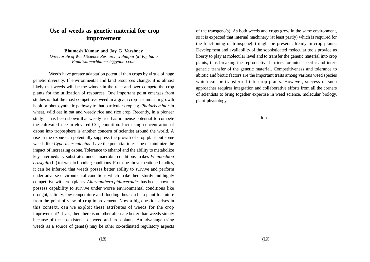# **Use of weeds as genetic material for crop improvement**

**Bhumesh Kumar and Jay G. Varshney**

*Directorate of Weed Science Research, Jabalpur (M.P.), India Eamil:kumarbhumesh@yahoo.com*

Weeds have greater adaptation potential than crops by virtue of huge genetic diversity. If environmental and land resources change, it is almost likely that weeds will be the winner in the race and over compete the crop plants for the utilization of resources. One important point emerges from studies is that the most competitive weed in a given crop is similar in growth habit or photosynthetic pathway to that particular crop e.g. *Phalaris minor* in wheat, wild oat in oat and weedy rice and rice crop. Recently, in a pioneer study, it has been shown that weedy rice has immense potential to compete the cultivated rice in elevated  $CO_2$  condition. Increasing concentration of ozone into troposphere is another concern of scientist around the world. A rise in the ozone can potentially suppress the growth of crop plant but some weeds like *Cyperus esculentus* have the potential to escape or minimize the impact of increasing ozone. Tolerance to ethanol and the ability to metabolize key intermediary substrates under anaerobic conditions makes *Echinochloa crusgalli* (L.) tolerant to flooding conditions. From the above mentioned studies, it can be inferred that weeds posses better ability to survive and perform under adverse environmental conditions which make them sturdy and highly competitive with crop plants. *Alternanthera philoxeroides* has been shown to possess capability to survive under worse environmental conditions like drought, salinity, low temperature and flooding thus can be a plant for future from the point of view of crop improvement. Now a big question arises in this context, can we exploit these attributes of weeds for the crop improvement? If yes, then there is no other alternate better than weeds simply because of the co-existence of weed and crop plants. An advantage using weeds as a source of gene(s) may be other co-ordinated regulatory aspects

of the transgene(s). As both weeds and crops grow in the same environment, so it is expected that internal machinery (at least partly) which is required for the functioning of transgene(s) might be present already in crop plants. Development and availability of the sophisticated molecular tools provide us liberty to play at molecular level and to transfer the genetic material into crop plants, thus breaking the reproductive barriers for inter-specific and intergeneric transfer of the genetic material. Competitiveness and tolerance to abiotic and biotic factors are the important traits among various weed species which can be transferred into crop plants. However, success of such approaches requires integration and collaborative efforts from all the corners of scientists to bring together expertise in weed science, molecular biology, plant physiology.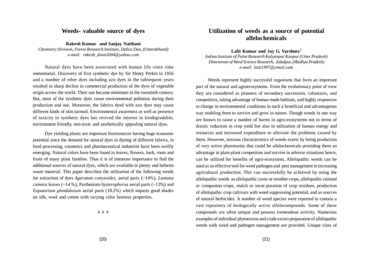#### **Weeds- valuable source of dyes**

**Rakesh Kumar and Sanjay Naithani** *Chemistry Division, Forest Research Institute, Dehra Dun, (Uttarakhand) e-mail: rakesh\_doon2004@yahoo.com*

Natural dyes have been associated with human life since time immemorial. Discovery of first synthetic dye by Sir Henry Perkin in 1856 and a number of other dyes including azo dyes in the subsequent years resulted in sharp decline in commercial production of the dyes of vegetable origin across the world. Their use became minimum in the twentieth century. But, most of the synthetic dyes cause environmental pollution during their production and use. Moreover, the fabrics dyed with azo dyes may cause different kinds of skin turmoil. Environmental awareness as well as presence of toxicity in synthetic dyes has revived the interest in biodegradable, environment friendly, non-toxic and aesthetically appealing natural dyes.

Dye yielding plants are important bioresources having huge economic potential since the demand for natural dyes in dyeing of different fabrics, in food processing, cosmetics and pharmaceutical industries have been swiftly emerging. Natural colors have been found in leaves, flowers, bark, roots and fruits of many plant families. Thus it is of immense importance to find the additional sources of natural dyes, which are available in plenty and hitherto waste material. This paper describes the utilization of the following weeds for extraction of dyes *Ageratum conyzoides*, aerial parts (~14%), *Lantana camara* leaves (~14 %), Parthenium *hysterophorus* aerial parts (~13%) and *Eupatorium glandulusum* aerial parts (18.2%) which imparts good shades on silk, wool and cotton with varying color fastness properties.

k k k

### **Utilization of weeds as a source of potential allelochemicals**

**Lalit Kumar and Jay G. Varshney<sup>1</sup>**

*Indian Institute of Pulse Research Kalyanpur Kanpur (Utter Pradesh) Directorate of Weed Science Research, Jabalpur, (Madhya Pradesh) e-mail: lalit1997@ymail.com*

Weeds represent highly successful organisms that form an important part of the natural and agroecosystems. From the evolutionary point of view they are considered as pioneers of secondary succession, colonizers, and competitors, taking advantage of human made habitats, and highly responsive to change in environmental conditions in such a beneficial and advantageous way enabling them to survive and grow in nature. Though weeds in one way are known to cause a number of harms in agro-ecosystems not in terms of drastic reduction in crop yield but also in utilization of human energy and resources and increased expenditure to alleviate the problems caused by them. However, noxious characteristics of weeds exerts by being production of very active phytotoxins that could be allelochemicals providing them an advantage in plant-plant competition and survive in adverse situations hence, can be utilized for benefits of agro-ecosystem. Allelopathic weeds can be used as an effective tool for weed pathogen and pest management in increasing agricultural production. This can successfully be achieved by using the allelopathic weeds as allelopathic cover or smother crops, allelopathic rational or companion crops, mulch or incor-poration of crop residues, production of allelopathic crop cultivars with weed suppressing potential, and as sources of natural herbicides. A number of weed species were reported to contain a vast repository of biologically active allelocompounds. Some of these compounds are often unique and possess tremendous activity. Numerous examples of individual phytotoxins and crude exract preparation of allelopathic weeds with weed and pathogen management are provided. Unique class of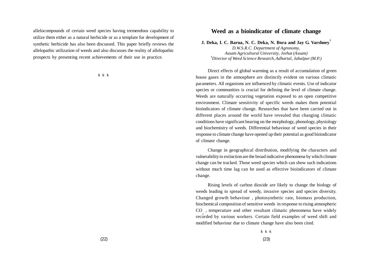allelocompounds of certain weed species having tremendous capability to utilize them either as a natural herbicide or as a template for development of synthetic herbicide has also been discussed. This paper briefly reviews the allelopathic utilization of weeds and also discusses the reality of allelopathic prospects by presenting recent achievements of their use in practice.

k k k

#### **Weed as a bioindicator of climate change**

**J. Deka, I. C. Barua, N. C. Deka, N. Bora and Jay G. Varshney<sup>1</sup>**

*D.W.S.R.C. Department of Agronomy, Assam Agricultural University, Jorhat (Assam) <sup>1</sup>Director of Weed Science Research, Adhartal, Jabalpur (M.P.)*

Direct effects of global warming as a result of accumulation of green house gases in the atmosphere are distinctly evident on various climatic parameters. All organisms are influenced by climatic events. Use of indicator species or communities is crucial for defining the level of climate change. Weeds are naturally occurring vegetation exposed to an open competitive environment. Climate sensitivity of specific weeds makes them potential bioindicators of climate change. Researches that have been carried out in different places around the world have revealed that changing climatic conditions have significant bearing on the morphology, phonology, physiology and biochemistry of weeds. Differential behaviour of weed species in their response to climate change have opened up their potential as good bioindicator of climate change.

Change in geographical distribution, modifying the characters and vulnerability to extinction are the broad indicative phenomena by which climate change can be tracked. Those weed species which can show such indications without much time lag can be used as effective bioindicators of climate change.

Rising levels of carbon dioxide are likely to change the biology of weeds leading to spread of weedy, invasive species and species diversity. Changed growth behaviour , photosynthetic rate, biomass production, biochemical composition of sensitive weeds in response to rising atmospheric CO , temperature and other resultant climatic phenomena have widely recorded by various workers. Certain field examples of weed shift and modified behaviour due to climate change have also been cited.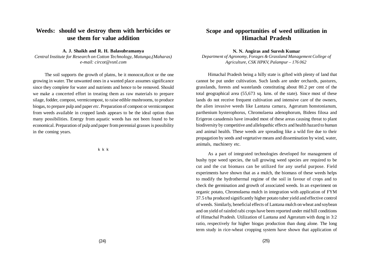## **Weeds: should we destroy them with herbicides or use them for value addition**

**A. J. Shaikh and R. H. Balasubramanya**

*Central Institute for Research on Cotton Technology, Matunga,(Maharas) e-mail: circot@vsnl.com*

The soil supports the growth of platns, be it monocot,dicot or the one growing in water. The unwanted ones in a wanted place assumes significance since they complete for water and nutrients and hence to be removed. Should we make a concerted effort in treating them as raw materials to prepare silage, fodder, compost, vermicompost, to raise edible mushrooms, to produce biogas, to prepare pulp and paper *etc*. Preparation of compost or vermicompost from weeds available in cropped lands appears to be the ideal option than many possibilities. Energy from aquatic weeds has not been found to be economical. Preparation of pulp and paper from perennial grasses is possibility in the coming years.

k k k

### **Scope and opportunities of weed utilization in Himachal Pradesh**

**N. N. Angiras and Suresh Kumar**

*Department of Agronomy, Forages & Grassland Management College of Agriculture, CSK HPKV, Palampur – 176 062* 

Himachal Pradesh being a hilly state is gifted with plenty of land that cannot be put under cultivation. Such lands are under orchards, pastures, grasslands, forests and wastelands constituting about 80.2 per cent of the total geographical area (55,673 sq. kms. of the state). Since most of these lands do not receive frequent cultivation and intensive care of the owners, the alien invasive weeds like Lantana camara, Ageratum honstonianum, parthenium hysterophorus, Chromolaena adenophorum, Bidens filosa and Erigeron canadensis have invaded most of these areas causing threat to plant biodiversity by competitive and allelopathic effects and health hazard to human and animal health. These weeds are spreading like a wild fire due to their propagation by seeds and vegetative means and dissemination by wind, water, animals, machinery etc.

As a part of integrated technologies developed for management of bushy type weed species, the tall growing weed species are required to be cut and the cut biomass can be utilized for any useful purpose. Field experiments have shown that as a mulch, the biomass of these weeds helps to modify the hydrothermal regime of the soil in favour of crops and to check the germination and growth of associated weeds. In an experiment on organic potato, Chromolaena mulch in integration with application of FYM 37.5 t/ha produced significantly higher potato tuber yield and effective control of weeds. Similarly, beneficial effects of Lantana mulch on wheat and soybean and on yield of rainfed rabi crops have been reported under mid hill conditions of Himachal Pradesh. Utilization of Lantana and Ageratum with dung in 3:2 ratio, respectively for higher biogas production than dung alone. The long term study in rice-wheat cropping system have shown that application of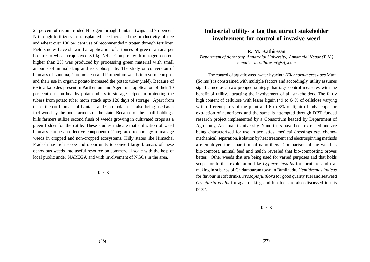25 percent of recommended Nitrogen through Lantana twigs and 75 percent N through fertilizers in transplanted rice increased the productivity of rice and wheat over 100 per cent use of recommended nitrogen through fertilizer. Field studies have shown that application of 5 tonnes of green Lantana per hectare to wheat crop saved 30 kg N/ha. Compost with nitrogen content higher than 2% was produced by processing green material with small amounts of animal dung and rock phosphate. The study on conversion of biomass of Lantana, Chromolaena and Parthenium weeds into vermicompost and their use in organic potato increased the potato tuber yield). Because of toxic alkaloides present in Parthenium and Ageratum, application of their 10 per cent dust on healthy potato tubers in storage helped in protecting the tubers from potato tuber moth attack upto 120 days of storage . Apart from these, the cut biomass of Lantana and Chromolaena is also being used as a fuel wood by the poor farmers of the state. Because of the small holdings, hills farmers utilize second flush of weeds growing in cultivated crops as a green fodder for the cattle. These studies indicate that utilization of weed biomass can be an effective component of integrated technology to manage weeds in cropped and non-cropped ecosystems. Hilly states like Himachal Pradesh has rich scope and opportunity to convert large biomass of these obnoxious weeds into useful resource on commercial scale with the help of local public under NAREGA and with involvement of NGOs in the area.

k k k

#### **Industrial utility- a tag that attract stakeholder involvement for control of invasive weed**

#### **R. M. Kathiresan**

*Department of Agronomy, Annamalai University, Annamalai Nagar (T. N.) e-mail:- rm.kathiresan@sify.com*

The control of aquatic weed water hyacinth (*Eichhornia crassipes* Murt. (Solms)) is constrained with multiple factors and accordingly, utility assumes significance as a two pronged strategy that tags control measures with the benefit of utility, attracting the involvement of all stakeholders. The fairly high content of cellulose with lesser lignin (49 to 64% of cellulose varying with different parts of the plant and 6 to 8% of lignin) lends scope for extraction of nanofibers and the same is attempted through DBT funded research project implemented by a Consortium headed by Department of Agronomy, Annamalai University. Nanofibers have been extracted and are being characterised for use in acoustics, medical dressings *etc*. chemomechanical, separation, isolation by heat treatment and electrospinning methods are employed for separation of nanofibers. Comparison of the weed as bio-compost, animal feed and mulch revealed that bio-composting proves better. Other weeds that are being used for varied purposes and that holds scope for further exploitation like *Cyperus hexalis* for furniture and mat making in suburbs of Chidambaram town in Tamilnadu, *Hemidesmas indicus* for flavour in soft drinks, *Prosopis juliflora* for good quality fuel and seaweed *Gracilaria edulis* for agar making and bio fuel are also discussed in this paper.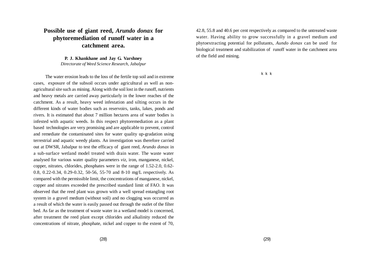# **Possible use of giant reed,** *Arundo donax* **for phytoremediation of runoff water in a catchment area.**

#### **P. J. Khankhane and Jay G. Varshney** *Directorate of Weed Science Research, Jabalpur*

The water erosion leads to the loss of the fertile top soil and in extreme cases, exposure of the subsoil occurs under agricultural as well as nonagricultural site such as mining. Along with the soil lost in the runoff, nutrients and heavy metals are carried away particularly in the lower reaches of the catchment. As a result, heavy weed infestation and silting occurs in the different kinds of water bodies such as reservoirs, tanks, lakes, ponds and rivers. It is estimated that about 7 million hectares area of water bodies is infested with aquatic weeds. In this respect phytoremediation as a plant based technologies are very promising and are applicable to prevent, control and remediate the contaminated sites for water quality up-gradation using terrestrial and aquatic weedy plants. An investigation was therefore carried out at DWSR, Jabalpur to test the efficacy of giant reed, *Arundo donax* in a sub-surface wetland model treated with drain water. The waste water analysed for various water quality parameters *viz*, iron, manganese, nickel, copper, nitrates, chlorides, phosphates were in the range of 1.52-2.0, 0.62- 0.8, 0.22-0.34, 0.29-0.32, 50-56, 55-70 and 8-10 mg/L respectively. As compared with the permissible limit, the concentrations of manganese, nickel, copper and nitrates exceeded the prescribed standard limit of FAO. It was observed that the reed plant was grown with a well spread entangling root system in a gravel medium (without soil) and no clogging was occurred as a result of which the water is easily passed out through the outlet of the filter bed. As far as the treatment of waste water in a wetland model is concerned, after treatment the reed plant except chlorides and alkalinity reduced the concentrations of nitrate, phosphate, nickel and copper to the extent of 70,

42.8, 55.8 and 40.6 per cent respectively as compared to the untreated waste water. Having ability to grow successfully in a gravel medium and phytoextracting potential for pollutants, *Aundo donax* can be used for biological treatment and stabilization of runoff water in the catchment area of the field and mining.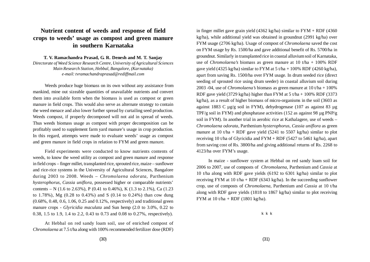# **Nutrient content of weeds and response of field crops to weeds' usage as compost and green manure in southern Karnataka**

**T. V. Ramachandra Prasad, G. R. Denesh and M. T. Sanjay**

*Directorate of Weed Science Research Centre, University of Agricultural Sciences Main Research Station, Hebbal, Bangalore, (Karnataka) e-mail: tvramachandraprasad@rediffmail.com*

Weeds produce huge biomass on its own without any assistance from mankind, mine out sizeable quantities of unavailable nutrients and convert them into available form when the biomass is used as compost or green manure in field crops. This would also serve as alternate strategy to contain the weed menace and also lower further spread by curtailing seed production. Weeds compost, if properly decomposed will not aid in spread of weeds. Thus weeds biomass usage as compost with proper decomposition can be profitably used to supplement farm yard manure's usage in crop production. In this regard, attempts were made to evaluate weeds' usage as compost and green manure in field crops in relation to FYM and green manure.

Field experiments were conducted to know nutrients contents of weeds, to know the weed utility as compost and green manure and response in field crops – finger millet, transplanted rice, sprouted rice, maize – sunflower and rice-rice systems in the University of Agricultural Sciences, Bangalore during 2003 to 2008. Weeds – *Chromolaena odorata,* Parthenium *hysterophorus, Cassia uniflora,* possessed higher or comparable nutrients' contents – N (1.6 to 2.63%), P (0.41 to 0.46%), K (1.3 to 2.1%), Ca (1.23 to 1.78%), Mg (0.28 to 0.43%) and S (0.14 to 0.24%) than cow dung (0.68%, 0.48, 0.6, 1.06, 0.25 and 0.12%, respectively) and traditional green manure crops - *Glyricidia maculata* and Sun hemp (2.0 to 3.0%, 0.22 to 0.38, 1.5 to 1.9, 1.4 to 2.2, 0.43 to 0.73 and 0.08 to 0.27%, respectively).

At Hebbal on red sandy loam soil, use of enriched compost of *Chromolaena* at 7.5 t/ha along with 100% recommended fertilizer dose (RDF) in finger millet gave grain yield  $(4362 \text{ kg/ha})$  similar to  $\text{FYM} + \text{RDF}$  (4360) kg/ha), while additional yield was obtained in groundnut (2991 kg/ha) over FYM usage (2706 kg/ha). Usage of compost of *Chromolaena* saved the cost on FYM usage by Rs. 1500/ha and gave additional benefit of Rs. 5700/ha in groundnut. Similarly in transplanted rice in coastal alluvium soil of Karnataka, use of *Chromolaena's* biomass as green manure at 10 t/ha + 100% RDF gave yield (4325 kg/ha) similar to FYM at 5 t/ha + 100% RDF (4260 kg/ha), apart from saving Rs. 1500/ha over FYM usage. In drum seeded rice (direct seeding of sprouted rice using drum seeder) in coastal alluvium soil during 2003 -04, use of *Chromolaena's* biomass as green manure at 10 t/ha + 100% RDF gave yield (3729 kg/ha) higher than FYM at 5 t/ha + 100% RDF (3373 kg/ha), as a result of higher biomass of micro-organisms in the soil (3603 as against 1883 C µg/g soil in FYM), dehydrogenase (107 as against 83 µg TPF/g soil in FYM) and phosphatase activities (152 as against 98 µg PNP/g soil in FYM). In another trial in aerobic rice at Kathalagere, use of weeds – *Chromolaena odorata,* Parthenium *hysterophorus, Cassia uniflora* as green manure at 10 t/ha + RDF gave yield (5241 to 5507 kg/ha) similar to plot receiving 10 t/ha of Glyricidia and FYM + RDF (5427 to 5461 kg/ha), apart from saving cost of Rs. 3800/ha and giving additional returns of Rs. 2268 to 4123/ha over FYM's usage.

In maize - sunflower system at Hebbal on red sandy loam soil for 2006 to 2007, use of composts of *Chromolaena,* Parthenium and *Cassia* at 10 t/ha along with RDF gave yields (6192 to 6301 kg/ha) similar to plot receiving FYM at 10 t/ha + RDF (6343 kg/ha). In the succeeding sunflower crop, use of composts of *Chromolaena,* Parthenium and *Cassia* at 10 t/ha along with RDF gave yields (1818 to 1867 kg/ha) similar to plot receiving FYM at 10 t/ha + RDF (1801 kg/ha).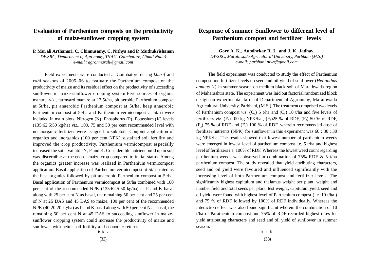## **Evaluation of Parthenium composts on the productivity of maize-sunflower cropping system**

**P. Murali Arthanari, C. Chinnusamy, C. Nithya and P. Muthukrishanan** *DWSRC, Department of Agronomy, TNAU, Coimbatore, (Tamil Nadu) e-mail : agronmurali@gmail.com*

Field experiments were conducted at Coimbatore during *kharif* and *rabi* seasons of 2005–06 to evaluate the Parthenium compost on the productivity of maize and its residual effect on the productivity of succeeding sunflower in maize-sunflower cropping system Five sources of organic manure, *viz*., farmyard manure at 12.5t/ha, pit aerobic Parthenium compost at 5t/ha, pit anaerobic Parthenium compost at 5t/ha, heap anaerobic Parthenium compost at 5t/ha and Parthenium vermicompost at 5t/ha were included in main plots. Nitrogen (N), Phosphorus (P), Potassium (K) levels (135:62.5:50 kg/ha) *viz*., 100, 75 and 50 per cent recommended level with no inorganic fertilizer were assigned to subplots. Conjoint application of organics and inorganics (100 per cent NPK) sustained soil fertility and improved the crop productivity. Parthenium vermicompost especially increased the soil available N, P and K. Considerable nutrient build up in soil was discernible at the end of maize crop compared to initial status. Among the organics greater increase was realized in Parthenium vermicompost application. Basal application of Parthenium vermicompost at 5t/ha rated as the best organics followed by pit anaerobic Parthenium compost at 5t/ha. Basal application of Parthenium vermicompost at 5t/ha combined with 100 per cent of the recommended NPK (135:62.5:50 kg/ha) as P and K basal along with 25 per cent N as basal, the remaining 50 per cent and 25 per cent of N at 25 DAS and 45 DAS to maize, 100 per cent of the recommended NPK (40:20:20 kg/ha) as P and K basal along with 50 per cent N as basal, the remaining 50 per cent N at 45 DAS to succeeding sunflower in maizesunflower cropping system could increase the productivity of maize and sunflower with better soil fertility and economic returns.

#### **Response of summer Sunflower to different level of Parthenium compost and fertilizer levels**

**Gore A. K., Aundhekar R. L. and J. K. Jadhav.** *DWSRC, Marathwada Agricultural University, Parbhani (M.S.) e-mail: parbhani.niws@gmail.com*

The field experiment was conducted to study the effect of Parthenium compost and fertilizer levels on seed and oil yield of sunflower (*Helianthus annuus L*.) in summer season on medium black soil of Marathwada region of Maharashtra state. The experiment was laid out factorial randomized block design on experimental farm of Department of Agronomy, Marathwada Agricultural University, Parbhani, (M.S.). The treatment comprised two levels of Parthenium compost *viz*.  $(C_1)$  5 t/ha and  $(C_2)$  10 t/ha and five levels of fertilizers *viz.* (F<sub>0</sub>) 00 kg NPK/ha, (F<sub>1</sub>)25 % of RDF, (F<sub>2</sub>) 50 % of RDF,  $(F_3)$  75 % of RDF and  $(F_4)$  100 % of RDF, wherein recommended dose of fertilizer nutrients (NPK) for sunflower in this experiment was 60 : 30 : 30 kg NPK/ha. The results showed that lowest number of parthenium weeds were emerged in lowest level of parthenium compost i.e. 5 t/ha and highest level of fertilizers i.e. 100% of RDF. Whereas the lowest weed count regarding parthenium weeds was observed in combination of 75% RDF & 5 t/ha parthenium compost. The study revealed that yield attributing characters, seed and oil yield were favoured and influenced significantly with the increasing level of both Parthenium compost and fertilizer levels. The significantly highest capitulum and thalamus weight per plant, weight and number field and total seeds per plant, test weight, capitulum yield, seed and oil yield were found with highest level of Parthenium compost (i.e. 10 t/ha ) and 75 % of RDF followed by 100% of RDF individually. Whereas the interaction effect was also found significant wherein the combination of 10 t/ha of Parathenium compost and 75% of RDF recorded highest rates for yield attributing characters and seed and oil yield of sunflower in summer season.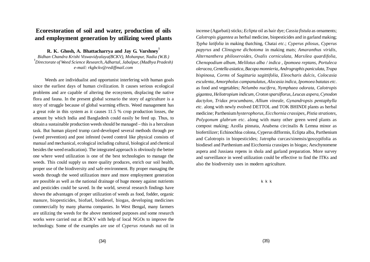## **Ecorestoration of soil and water, production of oils and employment generation by utilizing weed plants**

**R. K. Ghosh, A. Bhattacharrya and Jay G. Varshney<sup>1</sup>** *Bidhan Chandra Krishi Viswavidyalaya(BCKV), Mohanpur, Nadia (W.B.)*

*1 Directorate of Weed Science Research, Adhartal, Jabalpur, (Madhya Pradesh) e-mail: rkgbckv@rediffmail.com*

Weeds are individualist and opportunist interfering with human goals since the earliest days of human civilization. It causes serious ecological problems and are capable of altering the ecosystem, displacing the native flora and fauna. In the present global scenario the story of agriculture is a story of struggle because of global warming effects. Weed management has a great role in this system as it causes 11.5 % crop production losses, the amount by which India and Bangladesh could easily be feed up. Thus, to obtain a sustainable production weeds should be managed – this is a herculean task. But human played trump card-developed several methods through pre (weed prevention) and post infested (weed control like physical consists of manual and mechanical, ecological including cultural, biological and chemical besides the weed eradication). The integrated approach is obviously the better one where weed utilization is one of the best technologies to manage the weeds. This could supply us more quality produces, enrich our soil health, proper use of the biodiversity and safe environment. By proper managing the weeds through the weed utilization more and more employment generation are possible as well as the national drainage of huge money against nutrients and pesticides could be saved. In the world, several research findings have shown the advantages of proper utilization of weeds as food, fodder, organic manure, biopesticides, biofuel, biodiesel, biogas, developing medicines commercially by many pharma companies. In West Bengal, many farmers are utilizing the weeds for the above mentioned purposes and some research works were carried out at BCKV with help of local NGOs to improve the technology. Some of the examples are use of *Cyperus rotunds* nut oil in

incense (Agarbati) sticks; *Eclipta* oil as hair dye; *Cassia fistula* as ornaments; *Calotropis gigantea* as herbal medicine, biopesticides and in garland making; *Typha latifolia* in making thatching, Chatai *etc*.; *Cyperus pilosus*, *Cyperus papyrus* and *Clinogyne dichotoma* in making mats; *Amaranthus viridis*, *Alternanthera philoxeroides*, *Oxalis corniculata, Marsilea quardifolia, Chenopodium album, Melilotus alba / indica , Ipomoea reptans, Portuleca oleracea, Centella asiatica, Bacopa monnieria, Andrographis paniculata, Trapa bispinosa, Corms* of *Sagittaria sagittifolia, Eleocharis dulcis, Colocasia esculenta, Amorpholus campanulatus, Alocasia indica, Ipomoea batatas etc*. as food and vegetables; *Nelumbo nucifera, Nymphaea odorata*, *Calotropis gigantea, Heliotropium indicum, Croton sparsiflorus, Leucas aspera, Cynodon dactylon, Tridax procumbans, Allium vineale, Gynandropsis pentaphylla etc.* along with newly evolved DETTOL and TOK BHINDI plants as herbal medicine; Parthenium *hysterophorus, Eicchornia crassipes, Pistia stratiotes, Polygonum glabrum etc*. along with many other green weed plants as compost making; Azolla pinnata, Anabena circinalis & Lemna minor as biofertilizer; Echinochloa colona, Cyperus difformis, Eclipta alba, Parthenium and Calotropis in biopesticides; Jatropha curcas/sinensis/gossypifolia as biodiesel and Parthenium and Eicchornia crassipes in biogas; Aeschynomene aspera and Jussiaea repens in shola and garland preparation. More survey and surveillance in weed utilization could be effective to find the ITKs and also the biodiversity uses in modern agriculture.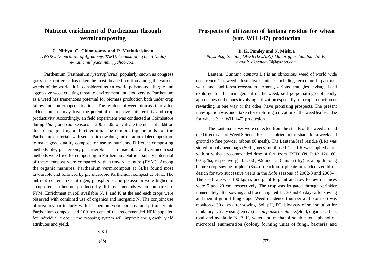# **Nutrient enrichment of Parthenium through vermicomposting**

**C. Nithya, C. Chinnusamy and P. Muthukrishnan**

*DWSRC, Department of Agronomy, TANU, Coimbatore, (Tamil Nadu) e-mail : nithiyachinnu@yahoo.co.in*

Parthenium (Parthenium *hysterophorus*) popularly known as congress grass or carrot grass has taken the most dreaded position among the various weeds of the world. It is considered as an exotic poisonous, allergic and aggressive weed creating threat to environment and biodiversity. Parthenium as a weed has tremendous potential for biomass production both under crop fallow and non-cropped situations. The residues of weed biomass into value added compost may have the potential to improve soil fertility and crop productivity. Accordingly, an field experiment was conducted at Coimbatore during *kharif* and *rabi* seasons of 2005–'06 to evaluate the nutrient addition due to composting of Parthenium. The composting methods for the Parthenium materials with semi solid cow dung and duration of decomposition to make good quality compost for use as nutrients. Different composting methods like, pit aerobic, pit anaerobic, heap anaerobic and vermicompost methods were tried for composting in Parthenium. Nutrient supply potenetial of these compost were compared with farmyard manure (FYM). Among the organic manures, Parthenium vermicompost at 5t/ha found most favourable and followed by pit anaerobic Parthenium compost at 5t/ha. The nutrient content like nitrogen, phosphorus and potassium were higher in composted Parthenium produced by different methods when compared to FYM. Enrichment in soil available N, P and K at the end each crops were observed with combined use of organics and inorganic N. The conjoint use of organics particularly with Parthenium vermicompost and pit anaerobic Parthenium compost and 100 per cent of the recommended NPK supplied for individual crops in the cropping system will improve the growth, yield attributes and yield.

### **Prospects of utilization of lantana residue for wheat (var. WH 147) production**

**D. K. Pandey and N. Mishra** *Physiology Section, DWSR (I.C.A.R.), Maharajpur, Jabalpur, (M.P.) e-mail: dkpandey54@yahoo.com*

Lantana (*Lantana camara* L.) is an obnoxious weed of world wide occurrence. The weed infests diverse niches including agricultural-, pastoral, wasteland- and forest-ecosystems. Among various strategies envisaged and explored for the management of the weed, self perpetuating ecofriendly approaches or the ones involving utilization especially for crop production or rewarding in one way or the other, have promising prospects. The present investigation was undertaken for exploring utilization of the weed leaf residue for wheat (var. WH 147) production.

The Lantana leaves were collected from the stands of the weed around the Directorate of Weed Science Research, dried in the shade for a week and ground to fine powder (about 80 mesh). The Lantana leaf residue (LR) was stored in polythene bags (500 gauges) until used. The LR was applied at nil with or without recommended dose of fertilizers (RFD) (N, P, K; 120, 60, 60 kg/ha, respectively), 3.3, 6.6, 9.9 and 13.3 tan/ha (dry) as a top dressing before crop sowing in plots (3x4 m) each in triplicate in randomized block design for two successive years in the *Rabi* seasons of 2002-3 and 2003-4. The seed rate was 100 kg/ha, and plant to plant and row to row distances were 5 and 20 cm, respectively. The crop was irrigated through sprinkler immediately after sowing, and flood irrigated 15, 30 and 45 days after sowing and then at grain filling stage. Weed incidence (number and biomass) was monitored 30 days after sowing. Soil pH, EC, bioassay of soil solution for inhibitory activity using lemna (*Lemna pausicostata* Hegelm.), organic carbon, total and available N, P, K, water and methanol soluble total phenolics, microbial enumeration (colony forming units of fungi, bacteria and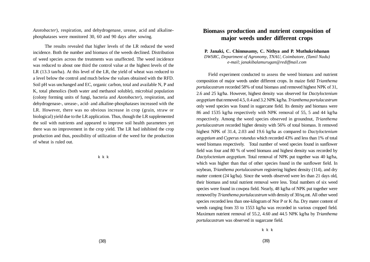*Azotobacter*), respiration, and dehydrogenase, urease, acid and alkalinephosphatases were monitored 30, 60 and 90 days after sowing.

The results revealed that higher levels of the LR reduced the weed incidence. Both the number and biomass of the weeds declined. Distribution of weed species across the treatments was unaffected. The weed incidence was reduced to about one third the control value at the highest levels of the LR (13.3 tan/ha). At this level of the LR, the yield of wheat was reduced to a level below the control and much below the values obtained with the RFD. Soil pH was unchanged and EC, organic carbon, total and available N, P and K, total phenolics (both water and methanol soluble), microbial population (colony forming units of fungi, bacteria and *Azotobacter*), respiration, and dehydrogenase-, urease-, acid- and alkaline-phosphatases increased with the LR. However, there was no obvious increase in crop (grain, straw or biological) yield due to the LR application. Thus, though the LR supplemented the soil with nutrients and appeared to improve soil health parameters yet there was no improvement in the crop yield. The LR had inhibited the crop production and thus, possibility of utilization of the weed for the production of wheat is ruled out.

k k k

#### **Biomass production and nutrient composition of major weeds under different crops**

**P. Janaki, C. Chinnusamy, C. Nithya and P. Muthukrishanan** *DWSRC, Department of Agronomy*, *TNAU, Coimbatore, (Tamil Nadu) e-mail; janakibalamurugan@rediffmail.com*

Field experiment conducted to assess the weed biomass and nutrient composition of major weeds under different crops. In maize field *Trianthema portulacastrum* recorded 58% of total biomass and removed highest NPK of 31, 2.6 and 25 kg/ha. However, highest density was observed for *Dactyloctenium aegyptium* that removed 4.5, 0.4 and 3.2 NPK kg/ha. *Trianthema portulacastrum* only weed species was found in sugarcane field. Its density and biomass were 86 and 1535 kg/ha respectively with NPK removal of 55, 5 and 44 kg/ha respectively. Among the weed species observed in groundnut, *Trianthema portulacastrum* recorded higher density with 56% of total biomass. It removed highest NPK of 31.4, 2.03 and 19.6 kg/ha as compared to *Dactyloctenium aegyptium* and *Cyperus rotundus* which recorded 43% and less than 1% of total weed biomass respectively. Total number of weed species found in sunflower field was four and 80 % of weed biomass and highest density was recorded by *Dactyloctenium aegyptium*. Total removal of NPK put together was 40 kg/ha, which was higher than that of other species found in the sunflower field. In soybean, *Trianthema portulacastrum* registering highest density (114), and dry matter content (24 kg/ha). Since the weeds observed were les than 21 days old, their biomass and total nutrient removal were less. Total numbers of six weed species were found in cowpea field. Nearly, 48 kg/ha of NPK put together were removed by *Trianthema portulacastrum* with density of 30/sq.mt. All other weed species recorded less than one-kilogram of Nor P or K /ha. Dry mater content of weeds ranging from 33 to 1553 kg/ha was recorded in various cropped field. Maximum nutrient removal of 55.2, 4.60 and 44.5 NPK kg/ha by *Trianthema portulacastrum* was observed in sugarcane field.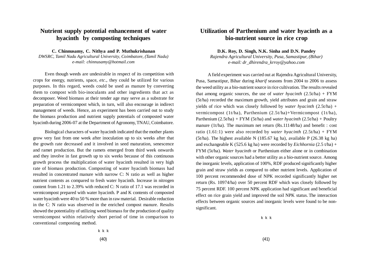# **Nutrient supply potential enhancement of water hyacinth by composting techniques**

**C. Chinnusamy, C. Nithya and P. Muthukrishanan**

*DWSRC, Tamil Nadu Agricultural University, Coimbatore, (Tamil Nadu) e-mail: chinnusamy@hotmail.com*

Even though weeds are undesirable in respect of its competition with crops for energy, nutrients, space, *etc*., they could be utilized for various purposes. In this regard, weeds could be used as manure by converting them to compost with bio-inoculants and other ingredients that act as decomposer. Weed biomass at their tender age may serve as a substrate for preparation of vermicompost which, in turn, will also encourage in indirect management of weeds. Hence, an experiment has been carried out to study the biomass production and nutrient supply potentials of composted water hyacinth during 2006-07 at the Department of Agronomy, TNAU, Coimbatore.

Biological characters of water hyacinth indicated that the mother plants grow very fast from one week after inoculation up to six weeks after that the growth rate decreased and it involved in seed maturation, senescence and ramet production. But the ramets emerged from third week onwards and they involve in fast growth up to six weeks because of this continuous growth process the multiplication of water hyacinth resulted in very high rate of biomass production. Composting of water hyacinth biomass had resulted in concentrated manure with narrow C: N ratio as well as higher nutrient contents as compared to fresh water hyacinth. Increase in nitrogen content from 1.21 to 2.39% with reduced C: N ratio of 17.1 was recorded in vermicompost prepared with water hyacinth. P and K contents of composted water hyacinth were 40 to 50 % more than in raw material. Desirable reduction in the C: N ratio was observed in the enriched compost manure. Results showed the potentiality of utilizing weed biomass for the production of quality vermicompost within relatively short period of time in comparison to conventional composting method.

### **Utilization of Parthenium and water hyacinth as a bio-nutrient source in rice crop**

**D.K. Roy, D. Singh, N.K. Sinha and D.N. Pandey**

*Rajendra Agricultural University, Pusa, Samastipur, (Bihar) e-mail: dr\_dhirendra\_krroy@yahoo.com*

A field experiment was carried out at Rajendra Agricultural University, Pusa, Samastipur, Bihar during *kharif* seasons from 2004 to 2006 to assess the weed utility as a bio-nutrient source in rice cultivation. The results revealed that among organic sources, the use of *water hyacinth* (2.5t/ha) + FYM (5t/ha) recorded the maximum growth, yield attributes and grain and straw yields of rice which was closely followed by *water hyacinth* (2.5t/ha) + vermicompost (1t/ha), Parthenium (2.5t/ha)+Vermicompost (1t/ha), Parthenium (2.5t/ha) + FYM (5t/ha) and *water hyacinth* (2.5t/ha) + Poultry manure (1t/ha). The maximum net return (Rs.11148/ha) and benefit : cost ratio (1.61:1) were also recorded by *water hyacinth* (2.5t/ha) + FYM (5t/ha). The highest available N (185.67 kg ha), available P (26.38 kg ha) and exchangeable K (525.6 kg ha) were recorded by *Eichhornia* (2.5 t/ha) + FYM (5t/ha). *Water hyacinth* or Parthenium either alone or in combination with other organic sources had a better utility as a bio-nutrient source. Among the inorganic levels, application of 100%, RDF produced significantly higher grain and straw yields as compared to other nutrient levels. Application of 100 percent recommended dose of NPK recorded significantly higher net return (Rs. 10974/ha) over 50 percent RDF which was closely followed by 75 percent RDF. 100 percent NPK application had significant and beneficial effect on rice grain yield and improved the soil NPK status. The interaction effects between organic sources and inorganic levels were found to be nonsignificant.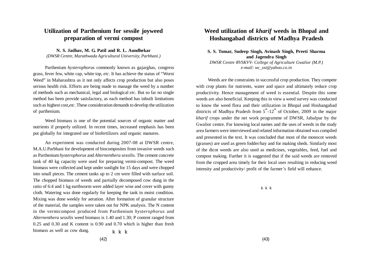### **Utilization of Parthenium for sessile joyweed preparation of vermi compost**

**N. S. Jadhav, M. G. Patil and R. L. Aundhekar** *(DWSR Centre, Marathwada Agricultural University, Parbhani.)*

Parthenium *hysterophorus* commonly known as gajarghas, congress grass, fever few, white cap, white top, *etc*. It has achieve the status of "Worst Weed" in Maharashtra as it not only affects crop production but also poses serious health risk. Efforts are being made to manage the weed by a number of methods such as mechanical, legal and biological *etc*. But so far no single method has been provide satisfactory, as each method has inbuilt limitations such as highest cost,*etc*. These consideration demands to develop the utilization of parthenium.

Weed biomass is one of the potential sources of organic matter and nutrients if properly utilized. In recent times, increased emphasis has been put globally for integrated use of biofertilizers and organic manures.

An experiment was conducted during 2007-08 at DWSR centre, M.A.U.Parbhani for development of biocomposites from invasive weeds such as Parthenium *hysterophorus* and *Alternenthera sessilis.* The cement concrete tank of 40 kg capacity were used for preparing vermi-compost. The weed biomass were collected and kept under sunlight for 15 days and were chopped into small pieces. The cement tanks up to 2 cm were filled with surface soil. The chopped biomass of weeds and partially decomposed cow dung in the ratio of 6:4 and 1 kg earthworm were added layer wise and cover with gunny cloth. Watering was done regularly for keeping the tank in moist condition. Mixing was done weekly for aeration. After formation of granular structure of the material, the samples were taken out for NPK analysis. The N content in the vermicompost produced from Parthenium *hysterophorus* and *Alternenthera sessilis* weed biomass is 1.40 and 1.30; P content ranged from 0.25 and 0.30 and K content is 0.90 and 0.70 which is higher than fresh biomass as well as cow dung.  $k \times k$ 

### **Weed utilization of** *kharif* **weeds in Bhopal and Hoshangabad districts of Madhya Pradesh**

#### **S. S. Tomar, Sudeep Singh, Avinash Singh, Preeti Sharma and Jagendra Singh**

*DWSR Centre RVSKVV- College of Agriculture Gwalior (M.P.) e-mail: wc\_sst@yahoo.co.in*

Weeds are the constraints in successful crop production. They compete with crop plants for nutrients, water and space and ultimately reduce crop productivity. Hence management of weed is essential. Despite this some weeds are also beneficial. Keeping this in view a weed survey was conducted to know the weed flora and their utilization in Bhopal and Hoshangabad districts of Madhya Pradesh from  $5^{\text{th}}$ -12<sup>th</sup> of October, 2009 in the major *kharif* crops under the net work programme of DWSR, Jabalpur by the Gwalior centre. For knowing local names and the uses of weeds in the study area farmers were interviewed and related information obtained was compiled and presented in the text. It was concluded that most of the monocot weeds (grasses) are used as green fodder/hay and for making sheds. Similarly most of the dicot weeds are also used as medicines, vegetables, feed, fuel and compost making. Further it is suggested that if the said weeds are removed from the cropped area timely for their local uses resulting in reducing weed intensity and productivity/ profit of the farmer's field will enhance.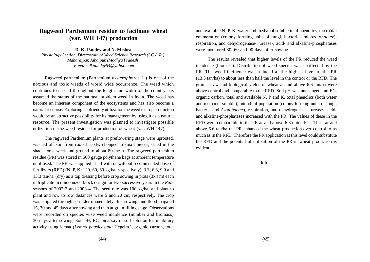### **Ragweed Parthenium residue to facilitate wheat (var. WH 147) production**

**D. K. Pandey and N. Mishra**

*Physiology Section, Directorate of Weed Science Research (I.C.A.R.), Maharajpur, Jabalpur, (Madhya Pradesh) e-mail: dkpandey54@yahoo.com*

Ragweed parthenium (Parthenium *hysterophorus* L.) is one of the noxious and toxic weeds of world wide occurrence. The weed which continues to spread throughout the length and width of the country has assumed the status of the national problem weed in India. The weed has become an inherent component of the ecosystems and has also become a natural recourse. Exploring ecofriendly utilization the weed in crop production would be an attractive possibility for its management by using it as a natural resource. The present investigation was planned to investigate possible utilization of the weed residue for production of wheat (var. WH 147).

The ragweed Parthenium plants at preflowering stage were uprooted, washed off soil from roots briskly, chopped to small pieces, dried in the shade for a week and ground to about 80-mesh. The ragweed parthenium residue (PR) was stored in 500 gauge polythene bags at ambient temperature until used. The PR was applied at nil with or without recommended dose of fertilizers (RFD) (N, P, K; 120, 60, 60 kg ha, respectively), 3.3, 6.6, 9.9 and 13.3 tan/ha (dry) as a top dressing before crop sowing in plots (3x4 m) each in triplicate in randomized block design for two successive years in the *Rabi* seasons of 2002-3 and 2003-4. The seed rate was 100 kg/ha, and plant to plant and row to row distances were 5 and 20 cm, respectively. The crop was irrigated through sprinkler immediately after sowing, and flood irrigated 15, 30 and 45 days after sowing and then at grain filling stage. Observations were recorded on species wise weed incidence (number and biomass) 30 days after sowing. Soil pH, EC, bioassay of soil solution for inhibitory activity using lemna (*Lemna pausicostata* Hegelm.), organic carbon, total

and available N, P, K, water and methanol soluble total phenolics, microbial enumeration (colony forming units of fungi, bacteria and *Azotobacter*), respiration, and dehydrogenase-, urease-, acid- and alkaline-phosphatases were monitored 30, 60 and 90 days after sowing.

The results revealed that higher levels of the PR reduced the weed incidence (biomass). Distribution of weed species was unaffected by the PR. The weed incidence was reduced at the highest level of the PR (13.3 tan/ha) to about less than half the level in the control or the RFD. The grain, straw and biological yields of wheat at and above 6.6 tan/ha were above control and comparable to the RFD. Soil pH was unchanged and EC, organic carbon, total and available N, P and K, total phenolics (both water and methanol soluble), microbial population (colony forming units of fungi, bacteria and *Azotobacter*), respiration, and dehydrogenase-, urease-, acidand alkaline-phosphatases increased with the PR. The values of these in the RFD were comparable to the PR at and above 6.6 quintal/ha. Thus, at and above 6.6 tan/ha the PR enhanced the wheat production over control to as much as in the RFD. Therefore the PR application at this level could substitute the RFD and the potential of utilization of the PR in wheat production is evident.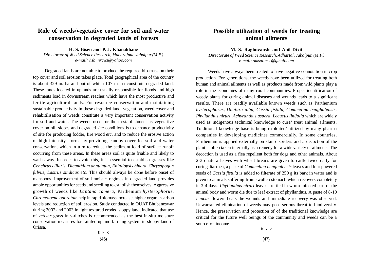## **Role of weeds/vegetative cover for soil and water conservation in degraded lands of forests**

**H. S. Bisen and P. J. Khanakhane** *Directorate of Weed Science Research, Maharajpur, Jabalpur (M.P.) e-mail: hsb\_nrcws@yahoo.com*

Degraded lands are not able to produce the required bio-mass on their top cover and soil erosion takes place. Total geographical area of the country is about 329 m. ha and out of which 107 m. ha constitute degraded land. These lands located in uplands are usually responsible for floods and high sediments load in downstream reaches which have the most productive and fertile agricultural lands. For resource conservation and maintaining sustainable productivity in these degraded land, vegetation, weed cover and rehabitilisation of weeds constitute a very important conservation activity for soil and water. The weeds used for their establishment as vegetative cover on hill slopes and degraded site conditions is to enhance productivity of site for producing fodder, fire wood *etc*. and to reduce the erosive action of high intensity storms by providing canopy cover for soil and water conservation, which in turn to reduce the sediment load of surface runoff occurring from these areas. In these areas soil is quite friable and likely to wash away. In order to avoid this, it is essential to establish grasses like *Cenchrus ciliaris, Dicanthium annulatun, Enlaliopsis binata, Chrysopogon fulvus, Lasirus sindicus etc*. This should always be done before onset of mansoons. Improvement of soil moister regimes in degraded land provides ample opportunities for seeds and seedling to establish themselves. Aggressive growth of weeds like *Lantana camera,* Parthenium *hysterophorus*, *Chromoloena odoratam* help in rapid biomass increase, higher organic carbon levels and reduction of soil erosion. Study conducted in OUAT Bhubaneswar during 2002 and 2003 in light textured eroded sloppy land, indicated that use of *vetiver* grass in v-ditches is recommended as the best in-situ moisture conservation measures for rainfed upland farming system in sloppy land of Orissa.

#### **Possible utilization of weeds for treating animal ailments**

**M. S. Raghuvanshi and Anil Dixit** *Directorate of Weed Science Research, Adhartal, Jabalpur, (M.P.) e-mail: omsai.msr@gmail.com*

Weeds have always been treated to have negative connotation in crop production. For generations, the weeds have been utilized for treating both human and animal ailments as well as products made from wild plants play a role in the economies of many rural communities. Proper identification of weedy plants for curing animal diseases and wounds leads to a significant results. There are readily available known weeds such as Parthenium *hysterophorus, Dhatura alba, Cassia fistula, Commelina benghalensis, Phyllanthus niruri, Achyranthus aspera, Lecucus linifolia* which are widely used as indigenous technical knowledge to cure/ treat animal ailments. Traditional knowledge base is being exploited/ utilized by many pharma companies in developing medicines commercially. In some countries, Parthenium is applied externally on skin disorders and a decoction of the plant is often taken internally as a remedy for a wide variety of ailments. The decoction is used as a flea repellent both for dogs and other animals. About 2-3 dhatura leaves with wheat breads are given to cattle twice daily for curing diarrhea, a paste of *Commelina benghalensis* leaves and four powered seeds of *Cassia fistula* is added to filterate of 250 g its bark in water and is given to animals suffering from swollen stomach which recovers completely in 3-4 days. *Phyllanthus niruri* leaves are tied in worm-infected part of the animal body and worm die due to leaf extract of phyllanthus. A paste of 8-10 *Leucus* flowers heals the wounds and immediate recovery was observed. Unwarranted elimination of weeds may pose serious threat to biodiversity. Hence, the preservation and protection of of the traditional knowledge are critical for the future well beings of the community and weeds can be a source of income.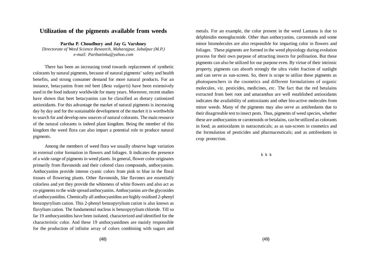#### **Utilization of the pigments available from weeds**

**Partha P. Choudhury and Jay G. Varshney** *Directorate of Weed Science Research, Maharajpur, Jabalpur (M.P.) e-mail: Parthatinku@yahoo.com*

There has been an increasing trend towards replacement of synthetic colorants by natural pigments, because of natural pigments' safety and health benefits, and strong consumer demand for more natural products. For an instance, betacyanins from red beet (*Beta vulgaris*) have been extensively used in the food industry worldwide for many years. Moreover, recent studies have shown that beet betacyanins can be classified as dietary cationized antioxidants. For this advantage the market of natural pigments is increasing day by day and for the sustainable development of the market it is worthwhile to search for and develop new sources of natural colorants. The main resource of the natural colorants is indeed plant kingdom. Being the member of this kingdom the weed flora can also impart a potential role to produce natural pigments.

Among the members of weed flora we usually observe huge variation in external color formation in flowers and foliages. It indicates the presence of a wide range of pigments in weed plants. In general, flower color originates primarily from flavonoids and their colored class compounds, anthocyanins. Anthocyanins provide intense cyanic colors from pink to blue in the floral tissues of flowering plants. Other flavonoids, like flavones are essentially colorless and yet they provide the whiteness of white flowers and also act as co-pigments to the wide spread anthocyanins. Anthocyanins are the glycosides of anthocyanidins. Chemically all anthocyanidins are highly oxidised 2-phenyl benzopyrylium cation. This 2-phenyl benzopyrylium cation is also known as flavylium cation. The fundamental nucleus is benzopyrylium chloride. Till so far 19 anthocyanidins have been isolated, characterized and identified for the characteristic color. And these 19 anthocyanidines are mainly responsible for the production of infinite array of colors combining with sugars and

metals. For an example, the color present in the weed Lantana is due to delphinidin monoglucoside. Other than anthocyanins, carotenoids and some minor biomolecules are also responsible for imparting color in flowers and foliages. These pigments are formed in the weed physiology during evolution process for their own purpose of attracting insects for pollination. But these pigments can also be utilized for our purpose even. By virtue of their intrinsic property, pigments can absorb strongly the ultra violet fraction of sunlight and can serve as sun-screen. So, there is scope to utilize these pigments as photoquenchers in the cosmetics and different formulations of organic molecules, *viz*. pesticides, medicines, *etc*. The fact that the red betalains extracted from beet root and amaranthus are well established antioxidants indicates the availability of antioxitants and other bio-active molecules from minor weeds. Many of the pigments may also serve as antifeedants due to their disagrreable test to insect pests. Thus, pigments of weed species, whether these are anthocyanins or carotenoids or betalains, can be utilized as colorants in food; as antioxidants in nutraceuticals; as as sun-screen in cosmetics and the formulation of pesticides and pharmaceuticals; and as antifeedants in crop protection.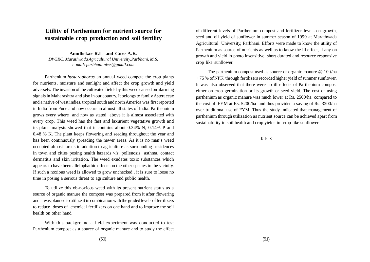### **Utility of Parthenium for nutrient source for sustainable crop production and soil fertility**

**Aundhekar R.L. and Gore A.K.** *DWSRC, Marathwada Agricultural University,Parbhani, M.S. e-mail: parbhani.niws@gmail.com*

Parthenium *hysterophorus* an annual weed compete the crop plants for nutrients, moisture and sunlight and affect the crop growth and yield adversely. The invasion of the cultivated fields by this weed caused on alarming signals in Maharashtra and also in our country. It belongs to family Asteraceae and a native of west indies, tropical south and north America was first reported in India from Pune and now occurs in almost all states of India. Parthenuium grows every where and now as stated above it is almost associated with every crop. This weed has the fast and laxurient vegetative growth and its plant analysis showed that it contains about 0.34% N, 0.14% P and 0.48 % K. The plant keeps flowering and seeding throughout the year and has been continuously spreading the newer areas. As it is no man's weed occupied almost areas in addition to agriculture as surrounding residences in town and cities posing health hazards *viz*. pollenosis asthma, contact dermatitis and skin irritation. The weed exudates toxic substances which appears to have been allelophathic effects on the other species in the vicinity. If such a noxious weed is allowed to grow unchecked , it is sure to loose no time in posing a serious threat to agriculture and public health.

To utilize this ob-noxious weed with its present nutrient status as a source of organic manure the compost was prepared from it after flowering and it was planned to utilize it in combination with the graded levels of fertilizers to reduce doses of chemical fertilizers on one hand and to improve the soil health on other hand.

With this background a field experiment was conducted to test Parthenium compost as a source of organic manure and to study the effect

of different levels of Parthenium compost and fertilizer levels on growth, seed and oil yield of sunflower in summer season of 1999 at Marathwada Agricultural University, Parbhani. Efforts were made to know the utility of Parthenium as source of nutrients as well as to know the ill effect, if any on growth and yield in photo insensitive, short durated and resource responsive crop like sunflower.

The parthenium compost used as source of organic manure @ 10 t/ha + 75 % of NPK through fertilizers recorded higher yield of summer sunflower. It was also observed that there were no ill effects of Parthenium compost either on crop germination or its growth or seed yield. The cost of using parthenium as organic manure was much lower at Rs. 2500/ha compared to the cost of FYM at Rs. 5200/ha and thus provided a saving of Rs. 3200/ha over traditional use of FYM. Thus the study indicated that management of parthenium through utilization as nutrient source can be achieved apart from sustainability in soil health and crop yields in crop like sunflower.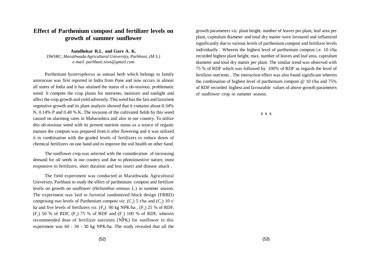## **Effect of Parthenium compost and fertilizer levels on growth of summer sunflower**

**Aundhekar R.L. and Gore A. K.** *DWSRC, Marathwada Agricultural University, Parbhani, (M.S.) e-mail: parbhani.niws@gmail.com*

Parthenium *hysterophorus* as annual herb which belongs to family asteraceae was first reported in India from Pune and now occurs in almost all states of India and it has attained the status of a ob-noxious, problematic weed. It compete the crop plants for nutrients, moisture and sunlight and affect the crop growth and yield adversely. This weed has the fast and laxurient vegetative growth and its plant analysis showed that it contains about 0.34% N, 0.14% P and 0.48 % K. The invasion of the cultivated fields by this weed caused on alarming rates in Maharashtra and also in our country. To utilize this ob-noxious weed with its present nutrient status as a source of organic manure the compost was prepared from it after flowering and it was utilized it in combination with the graded levels of fertilizers to reduce doses of chemical fertilizers on one hand and to improve the soil health on other hand.

The sunflower crop was selected with the consideration of increasing demand for oil seeds in our country and due to photoinsestive nature, most responsive to fertilizers, short duration and less insect and disease attack .

The field experiment was conducted at Marathwada Agricultural University, Parbhani to study the effect of parthenium compost and fertilizer levels on growth on sunflower (*Helianthus annuus L*.) in summer season. The experiment was laid in factorial randomized block design (FRBD) comprising two levels of Parthenium compost *viz*.  $(C_1)$  5 t/ha and  $(C_2)$  10 t/ ha and five levels of fertilizers *viz*.  $(F_0)$  00 kg NPK/ha,  $(F_1)$  25 % of RDF,  $(F_2)$  50 % of RDF,  $(F_3)$  75 % of RDF and  $(F)$  100 % of RDF, wherein recommended dose of fertilizer nutrients  $(N^{\frac{1}{2}}K)$  for sunflower in this experiment was 60 : 30 : 30 kg NPK/ha. The study revealed that all the

growth parameters *viz*. plant height, number of leaves per plant, leaf area per plant, capitulum diameter and total dry matter were favoured and influenced significantly due to various levels of parthenium compost and fertilizer levels individually . Wherein the highest level of parthenium compost i.e. 10 t/ha recorded highest plant height, max. number of leaves and leaf area, capitulum diameter and total dry matter per plant. The similar trend was observed with 75 % of RDF which was followed by 100% of RDF as regards the level of fertilizer nutrients . The interaction effect was also found significant wherein the combination of highest level of parthenium compost @ 10 t/ha and 75% of RDF recorded highest and favourable values of above growth parameters of sunflower crop in summer season.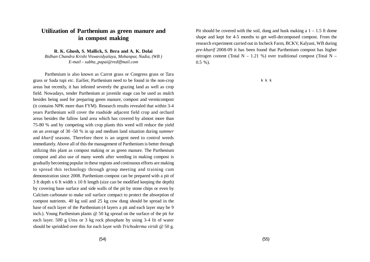## **Utilization of Parthenium as green manure and in compost making**

**R. K. Ghosh, S. Mallick, S. Bera and A. K. Dolai**

*Bidhan Chandra Krishi Viswavidyalaya, Mohanpur, Nadia, (WB ) E-mail – subha\_papai@rediffmail.com*

Parthenium is also known as Carrot grass or Congress grass or Tara grass or Sada tupi *etc*. Earlier, Parthenium need to be found in the non-crop areas but recently, it has infested severely the grazing land as well as crop field. Nowadays, tender Parthenium at juvenile stage can be used as mulch besides being used for preparing green manure, compost and vermicompost (it contains NPK more than FYM). Research results revealed that within 3-4 years Parthenium will cover the roadside adjacent field crop and orchard areas besides the fallow land area which has covered by almost more than 75-80 % and by competing with crop plants this weed will reduce the yield on an average of 30 -50 % in up and medium land situation during *summer* and *kharif* seasons. Therefore there is an urgent need to control weeds immediately. Above all of this the management of Parthenium is better through utilizing this plant as compost making or as green manure. The Parthenium compost and also use of many weeds after weeding in making compost is gradually becoming popular in these regions and continuous efforts are making to spread this technology through group meeting and training cum demonstration since 2008. Parthenium compost can be prepared with a pit of 3 ft depth x 6 ft width x 10 ft length (size can be modified keeping the depth) by covering base surface and side walls of the pit by stone chips or even by Calcium carbonate to make soil surface compact to protect the absorption of compost nutrients. 40 kg soil and 25 kg cow dung should be spread in the base of each layer of the Parthenium (4 layers a pit and each layer may be 9 inch.). Young Parthenium plants @ 50 kg spread on the surface of the pit for each layer. 500 g Urea or 3 kg rock phosphate by using 3-4 lit of water should be sprinkled over this for each layer with *Trichoderma viridi* @ 50 g.

Pit should be covered with the soil, dung and husk making a  $1 - 1.5$  ft dome shape and kept for 4-5 months to get well-decomposed compost. From the research experiment carried out in Incheck Farm, BCKV, Kalyani, WB during *pre-kharif* 2008-09 it has been found that Parthenium compost has higher nitrogen content (Total N – 1.21 %) over traditional compost (Total N –  $0.5 \%$ ).